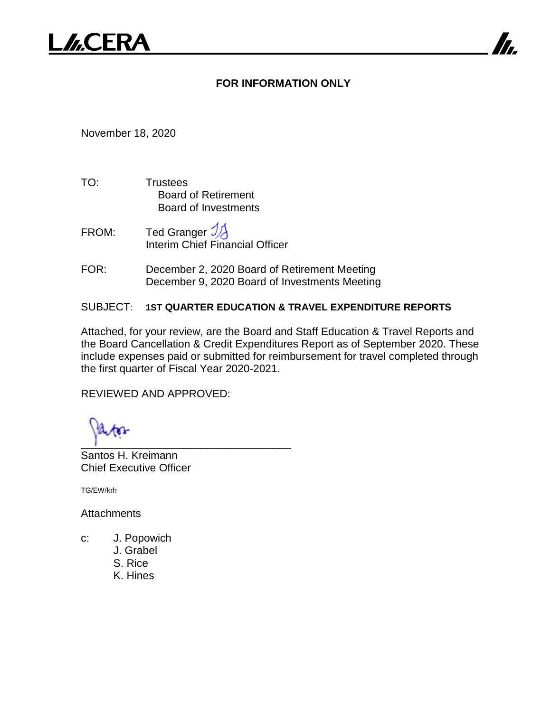# **FOR INFORMATION ONLY**

November 18, 2020

- TO: Trustees Board of Retirement Board of Investments
- FROM: Ted Granger  $\mathcal{Y}$ Interim Chief Financial Officer
- FOR: December 2, 2020 Board of Retirement Meeting December 9, 2020 Board of Investments Meeting

## SUBJECT: **1ST QUARTER EDUCATION & TRAVEL EXPENDITURE REPORTS**

Attached, for your review, are the Board and Staff Education & Travel Reports and the Board Cancellation & Credit Expenditures Report as of September 2020. These include expenses paid or submitted for reimbursement for travel completed through the first quarter of Fiscal Year 2020-2021.

REVIEWED AND APPROVED:

 $\frac{1}{2}$  ,  $\frac{1}{2}$  ,  $\frac{1}{2}$  ,  $\frac{1}{2}$  ,  $\frac{1}{2}$  ,  $\frac{1}{2}$  ,  $\frac{1}{2}$  ,  $\frac{1}{2}$  ,  $\frac{1}{2}$  ,  $\frac{1}{2}$  ,  $\frac{1}{2}$  ,  $\frac{1}{2}$  ,  $\frac{1}{2}$  ,  $\frac{1}{2}$  ,  $\frac{1}{2}$  ,  $\frac{1}{2}$  ,  $\frac{1}{2}$  ,  $\frac{1}{2}$  ,  $\frac{1$ 

Santos H. Kreimann Chief Executive Officer

TG/EW/krh

**Attachments** 

- c: J. Popowich
	- J. Grabel
	- S. Rice
	- K. Hines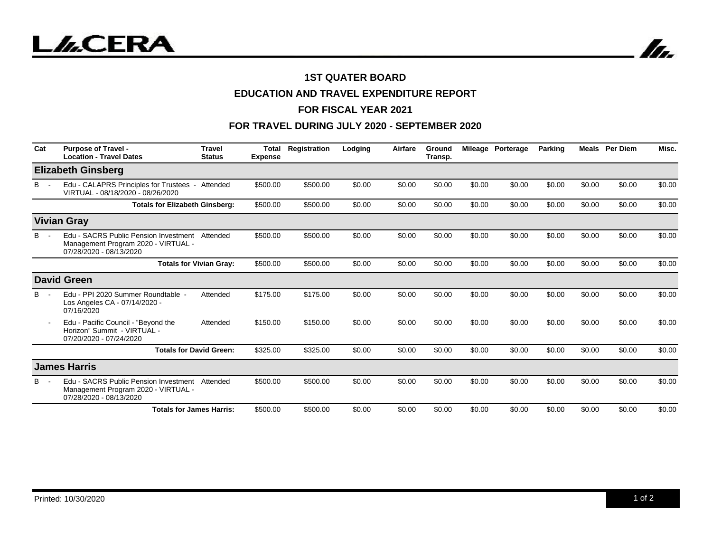



## **1ST QUATER BOARD**

## **EDUCATION AND TRAVEL EXPENDITURE REPORT**

### **FOR FISCAL YEAR 2021**

## **FOR TRAVEL DURING JULY 2020 - SEPTEMBER 2020**

| Cat | <b>Purpose of Travel -</b><br><b>Location - Travel Dates</b>                                            | <b>Travel</b><br><b>Status</b> | <b>Total</b><br><b>Expense</b> | Registration | Lodging | Airfare | Ground<br>Transp. |        | Mileage Porterage | <b>Parking</b> | Meals  | <b>Per Diem</b> | Misc.  |
|-----|---------------------------------------------------------------------------------------------------------|--------------------------------|--------------------------------|--------------|---------|---------|-------------------|--------|-------------------|----------------|--------|-----------------|--------|
|     | <b>Elizabeth Ginsberg</b>                                                                               |                                |                                |              |         |         |                   |        |                   |                |        |                 |        |
| В   | Edu - CALAPRS Principles for Trustees - Attended<br>VIRTUAL - 08/18/2020 - 08/26/2020                   |                                | \$500.00                       | \$500.00     | \$0.00  | \$0.00  | \$0.00            | \$0.00 | \$0.00            | \$0.00         | \$0.00 | \$0.00          | \$0.00 |
|     | <b>Totals for Elizabeth Ginsberg:</b>                                                                   |                                | \$500.00                       | \$500.00     | \$0.00  | \$0.00  | \$0.00            | \$0.00 | \$0.00            | \$0.00         | \$0.00 | \$0.00          | \$0.00 |
|     | <b>Vivian Gray</b>                                                                                      |                                |                                |              |         |         |                   |        |                   |                |        |                 |        |
| в   | Edu - SACRS Public Pension Investment<br>Management Program 2020 - VIRTUAL -<br>07/28/2020 - 08/13/2020 | Attended                       | \$500.00                       | \$500.00     | \$0.00  | \$0.00  | \$0.00            | \$0.00 | \$0.00            | \$0.00         | \$0.00 | \$0.00          | \$0.00 |
|     |                                                                                                         | <b>Totals for Vivian Gray:</b> | \$500.00                       | \$500.00     | \$0.00  | \$0.00  | \$0.00            | \$0.00 | \$0.00            | \$0.00         | \$0.00 | \$0.00          | \$0.00 |
|     | <b>David Green</b>                                                                                      |                                |                                |              |         |         |                   |        |                   |                |        |                 |        |
| B.  | Edu - PPI 2020 Summer Roundtable -<br>Los Angeles CA - 07/14/2020 -<br>07/16/2020                       | Attended                       | \$175.00                       | \$175.00     | \$0.00  | \$0.00  | \$0.00            | \$0.00 | \$0.00            | \$0.00         | \$0.00 | \$0.00          | \$0.00 |
|     | Edu - Pacific Council - "Beyond the<br>Horizon" Summit - VIRTUAL -<br>07/20/2020 - 07/24/2020           | Attended                       | \$150.00                       | \$150.00     | \$0.00  | \$0.00  | \$0.00            | \$0.00 | \$0.00            | \$0.00         | \$0.00 | \$0.00          | \$0.00 |
|     |                                                                                                         | <b>Totals for David Green:</b> | \$325.00                       | \$325.00     | \$0.00  | \$0.00  | \$0.00            | \$0.00 | \$0.00            | \$0.00         | \$0.00 | \$0.00          | \$0.00 |
|     | <b>James Harris</b>                                                                                     |                                |                                |              |         |         |                   |        |                   |                |        |                 |        |
| в   | Edu - SACRS Public Pension Investment<br>Management Program 2020 - VIRTUAL -<br>07/28/2020 - 08/13/2020 | Attended                       | \$500.00                       | \$500.00     | \$0.00  | \$0.00  | \$0.00            | \$0.00 | \$0.00            | \$0.00         | \$0.00 | \$0.00          | \$0.00 |
|     | <b>Totals for James Harris:</b>                                                                         |                                | \$500.00                       | \$500.00     | \$0.00  | \$0.00  | \$0.00            | \$0.00 | \$0.00            | \$0.00         | \$0.00 | \$0.00          | \$0.00 |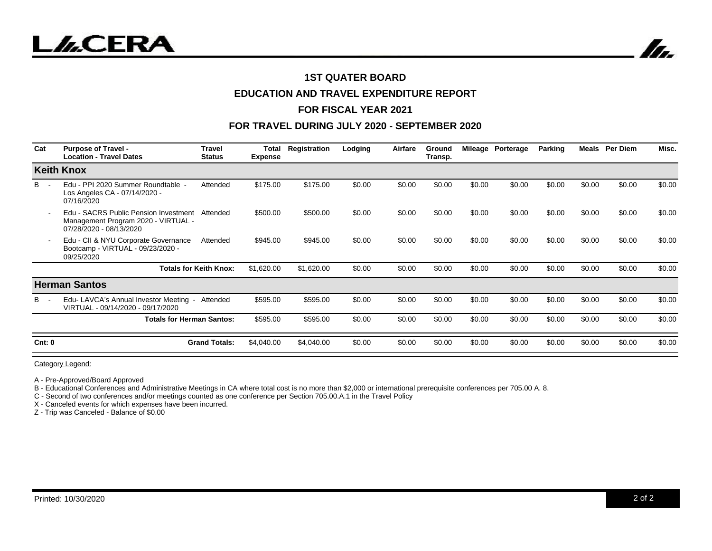



#### **1ST QUATER BOARD**

### **EDUCATION AND TRAVEL EXPENDITURE REPORT**

### **FOR FISCAL YEAR 2021**

### **FOR TRAVEL DURING JULY 2020 - SEPTEMBER 2020**

| Cat    | <b>Purpose of Travel -</b><br><b>Location - Travel Dates</b>                                            | <b>Travel</b><br><b>Status</b> | Total<br><b>Expense</b> | Registration | Lodging | Airfare | Ground<br>Transp. |        | Mileage Porterage | Parking | Meals  | <b>Per Diem</b> | Misc.  |
|--------|---------------------------------------------------------------------------------------------------------|--------------------------------|-------------------------|--------------|---------|---------|-------------------|--------|-------------------|---------|--------|-----------------|--------|
|        | <b>Keith Knox</b>                                                                                       |                                |                         |              |         |         |                   |        |                   |         |        |                 |        |
| B.     | Edu - PPI 2020 Summer Roundtable -<br>Los Angeles CA - 07/14/2020 -<br>07/16/2020                       | Attended                       | \$175.00                | \$175.00     | \$0.00  | \$0.00  | \$0.00            | \$0.00 | \$0.00            | \$0.00  | \$0.00 | \$0.00          | \$0.00 |
|        | Edu - SACRS Public Pension Investment<br>Management Program 2020 - VIRTUAL -<br>07/28/2020 - 08/13/2020 | Attended                       | \$500.00                | \$500.00     | \$0.00  | \$0.00  | \$0.00            | \$0.00 | \$0.00            | \$0.00  | \$0.00 | \$0.00          | \$0.00 |
|        | Edu - CII & NYU Corporate Governance<br>Bootcamp - VIRTUAL - 09/23/2020 -<br>09/25/2020                 | Attended                       | \$945.00                | \$945.00     | \$0.00  | \$0.00  | \$0.00            | \$0.00 | \$0.00            | \$0.00  | \$0.00 | \$0.00          | \$0.00 |
|        |                                                                                                         | <b>Totals for Keith Knox:</b>  | \$1,620.00              | \$1,620.00   | \$0.00  | \$0.00  | \$0.00            | \$0.00 | \$0.00            | \$0.00  | \$0.00 | \$0.00          | \$0.00 |
|        | <b>Herman Santos</b>                                                                                    |                                |                         |              |         |         |                   |        |                   |         |        |                 |        |
| B -    | Edu-LAVCA's Annual Investor Meeting -<br>VIRTUAL - 09/14/2020 - 09/17/2020                              | Attended                       | \$595.00                | \$595.00     | \$0.00  | \$0.00  | \$0.00            | \$0.00 | \$0.00            | \$0.00  | \$0.00 | \$0.00          | \$0.00 |
|        | <b>Totals for Herman Santos:</b>                                                                        |                                | \$595.00                | \$595.00     | \$0.00  | \$0.00  | \$0.00            | \$0.00 | \$0.00            | \$0.00  | \$0.00 | \$0.00          | \$0.00 |
| Cnt: 0 |                                                                                                         | <b>Grand Totals:</b>           | \$4,040.00              | \$4,040.00   | \$0.00  | \$0.00  | \$0.00            | \$0.00 | \$0.00            | \$0.00  | \$0.00 | \$0.00          | \$0.00 |

Category Legend:

A - Pre-Approved/Board Approved

B - Educational Conferences and Administrative Meetings in CA where total cost is no more than \$2,000 or international prerequisite conferences per 705.00 A. 8.

C - Second of two conferences and/or meetings counted as one conference per Section 705.00.A.1 in the Travel Policy

X - Canceled events for which expenses have been incurred.

Z - Trip was Canceled - Balance of \$0.00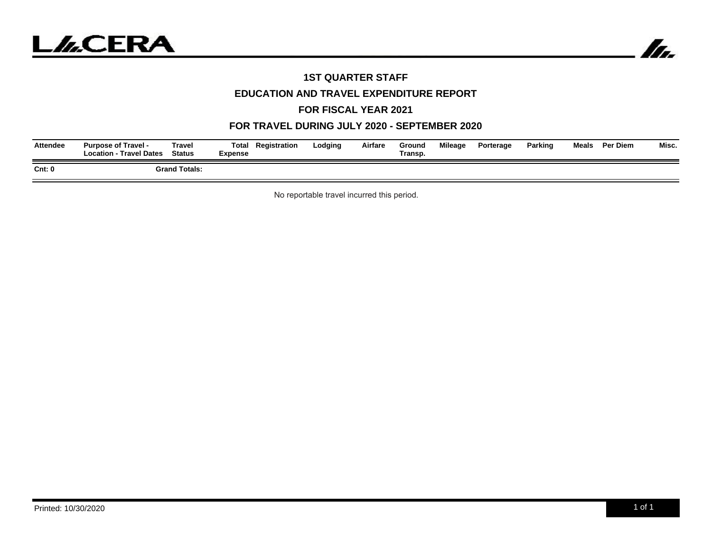



## **1ST QUARTER STAFF**

## **EDUCATION AND TRAVEL EXPENDITURE REPORT**

#### **FOR FISCAL YEAR 2021**

## **FOR TRAVEL DURING JULY 2020 - SEPTEMBER 2020**

| <b>Attendee</b> | <b>Purpose of Travel -</b><br><b>Location - Travel Dates</b> | Total<br><b>Fravel</b><br><b>Status</b><br>Expense | Registration | Lodging | Airfare | Ground<br>Transp. | <b>Mileage</b> | Porterage | Parking | Meals | <b>Per Diem</b> | Misc. |
|-----------------|--------------------------------------------------------------|----------------------------------------------------|--------------|---------|---------|-------------------|----------------|-----------|---------|-------|-----------------|-------|
| Cnt: 0          |                                                              | <b>Grand Totals:</b>                               |              |         |         |                   |                |           |         |       |                 |       |

No reportable travel incurred this period.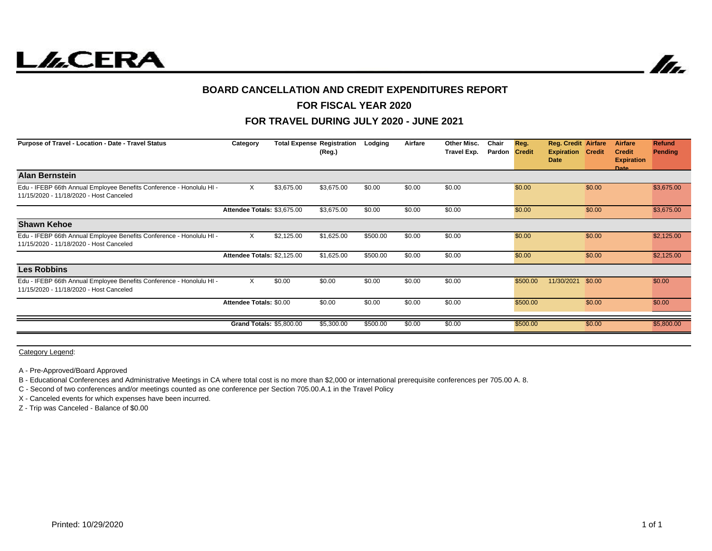

![](_page_4_Picture_1.jpeg)

#### **BOARD CANCELLATION AND CREDIT EXPENDITURES REPORT**

## **FOR FISCAL YEAR 2020**

### **FOR TRAVEL DURING JULY 2020 - JUNE 2021**

| Purpose of Travel - Location - Date - Travel Status                                                             | Category                        |            | <b>Total Expense Registration</b><br>(Reg.) | Lodging  | Airfare | Other Misc.<br>Travel Exp. | Chair<br>Pardon | Reg.<br><b>Credit</b> | <b>Reg. Credit Airfare</b><br><b>Expiration Credit</b><br><b>Date</b> |        | <b>Airfare</b><br><b>Credit</b><br><b>Expiration</b><br>Date | <b>Refund</b><br>Pending |
|-----------------------------------------------------------------------------------------------------------------|---------------------------------|------------|---------------------------------------------|----------|---------|----------------------------|-----------------|-----------------------|-----------------------------------------------------------------------|--------|--------------------------------------------------------------|--------------------------|
| <b>Alan Bernstein</b>                                                                                           |                                 |            |                                             |          |         |                            |                 |                       |                                                                       |        |                                                              |                          |
| Edu - IFEBP 66th Annual Employee Benefits Conference - Honolulu HI -<br>11/15/2020 - 11/18/2020 - Host Canceled | X                               | \$3,675.00 | \$3,675.00                                  | \$0.00   | \$0.00  | \$0.00                     |                 | \$0.00                |                                                                       | \$0.00 |                                                              | \$3,675.00               |
|                                                                                                                 | Attendee Totals: \$3,675.00     |            | \$3,675.00                                  | \$0.00   | \$0.00  | \$0.00                     |                 | \$0.00                |                                                                       | \$0.00 |                                                              | \$3,675.00               |
| <b>Shawn Kehoe</b>                                                                                              |                                 |            |                                             |          |         |                            |                 |                       |                                                                       |        |                                                              |                          |
| Edu - IFEBP 66th Annual Employee Benefits Conference - Honolulu HI -<br>11/15/2020 - 11/18/2020 - Host Canceled | $\times$                        | \$2,125.00 | \$1,625.00                                  | \$500.00 | \$0.00  | \$0.00                     |                 | \$0.00                |                                                                       | \$0.00 |                                                              | \$2,125.00               |
|                                                                                                                 | Attendee Totals: \$2,125.00     |            | \$1,625.00                                  | \$500.00 | \$0.00  | \$0.00                     |                 | \$0.00                |                                                                       | \$0.00 |                                                              | \$2,125.00               |
| <b>Les Robbins</b>                                                                                              |                                 |            |                                             |          |         |                            |                 |                       |                                                                       |        |                                                              |                          |
| Edu - IFEBP 66th Annual Employee Benefits Conference - Honolulu HI -<br>11/15/2020 - 11/18/2020 - Host Canceled | X                               | \$0.00     | \$0.00                                      | \$0.00   | \$0.00  | \$0.00                     |                 | \$500.00              | 11/30/2021                                                            | \$0.00 |                                                              | \$0.00                   |
|                                                                                                                 | Attendee Totals: \$0.00         |            | \$0.00                                      | \$0.00   | \$0.00  | \$0.00                     |                 | \$500.00              |                                                                       | \$0.00 |                                                              | \$0.00                   |
|                                                                                                                 | <b>Grand Totals: \$5,800.00</b> |            | \$5,300.00                                  | \$500.00 | \$0.00  | \$0.00                     |                 | \$500.00              |                                                                       | \$0.00 |                                                              | \$5,800.00               |
|                                                                                                                 |                                 |            |                                             |          |         |                            |                 |                       |                                                                       |        |                                                              |                          |

Category Legend:

A - Pre-Approved/Board Approved

B - Educational Conferences and Administrative Meetings in CA where total cost is no more than \$2,000 or international prerequisite conferences per 705.00 A. 8.

C - Second of two conferences and/or meetings counted as one conference per Section 705.00.A.1 in the Travel Policy

X - Canceled events for which expenses have been incurred.

Z - Trip was Canceled - Balance of \$0.00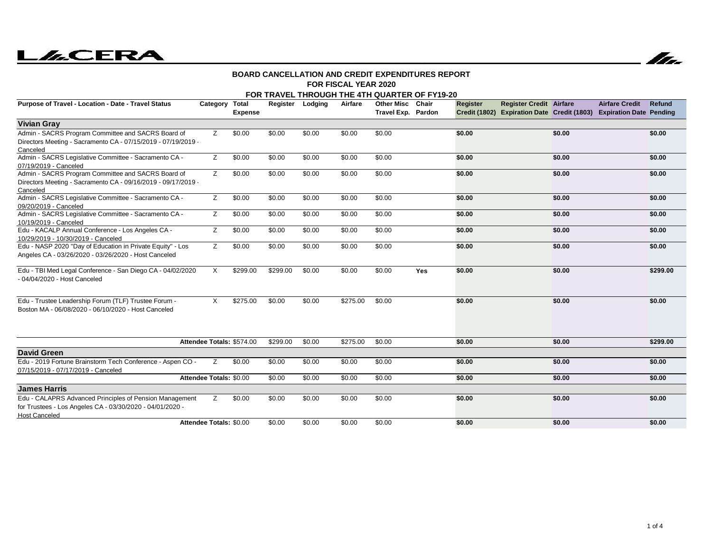# **LLCERA**

![](_page_5_Picture_1.jpeg)

#### **FOR FISCAL YEAR 2020BOARD CANCELLATION AND CREDIT EXPENDITURES REPORT**

#### **FOR TRAVEL THROUGH THE 4TH QUARTER OF FY19-20**

| Purpose of Travel - Location - Date - Travel Status                                                                                          | Category Total            | <b>Expense</b> | Register | Lodging | Airfare  | <b>Other Misc</b><br>Travel Exp. Pardon | Chair | Register | <b>Register Credit Airfare</b> |        | <b>Airfare Credit</b><br>Credit (1802) Expiration Date Credit (1803) Expiration Date Pending | <b>Refund</b> |
|----------------------------------------------------------------------------------------------------------------------------------------------|---------------------------|----------------|----------|---------|----------|-----------------------------------------|-------|----------|--------------------------------|--------|----------------------------------------------------------------------------------------------|---------------|
| <b>Vivian Gray</b>                                                                                                                           |                           |                |          |         |          |                                         |       |          |                                |        |                                                                                              |               |
| Admin - SACRS Program Committee and SACRS Board of<br>Directors Meeting - Sacramento CA - 07/15/2019 - 07/19/2019 -<br>Canceled              | Z                         | \$0.00         | \$0.00   | \$0.00  | \$0.00   | \$0.00                                  |       | \$0.00   |                                | \$0.00 |                                                                                              | \$0.00        |
| Admin - SACRS Legislative Committee - Sacramento CA -<br>07/19/2019 - Canceled                                                               | Z                         | \$0.00         | \$0.00   | \$0.00  | \$0.00   | \$0.00                                  |       | \$0.00   |                                | \$0.00 |                                                                                              | \$0.00        |
| Admin - SACRS Program Committee and SACRS Board of<br>Directors Meeting - Sacramento CA - 09/16/2019 - 09/17/2019 -<br>Canceled              | Z                         | \$0.00         | \$0.00   | \$0.00  | \$0.00   | \$0.00                                  |       | \$0.00   |                                | \$0.00 |                                                                                              | \$0.00        |
| Admin - SACRS Legislative Committee - Sacramento CA -<br>09/20/2019 - Canceled                                                               | Z                         | \$0.00         | \$0.00   | \$0.00  | \$0.00   | \$0.00                                  |       | \$0.00   |                                | \$0.00 |                                                                                              | \$0.00        |
| Admin - SACRS Legislative Committee - Sacramento CA -<br>10/19/2019 - Canceled                                                               | z                         | \$0.00         | \$0.00   | \$0.00  | \$0.00   | \$0.00                                  |       | \$0.00   |                                | \$0.00 |                                                                                              | \$0.00        |
| Edu - KACALP Annual Conference - Los Angeles CA -<br>10/29/2019 - 10/30/2019 - Canceled                                                      | Z                         | \$0.00         | \$0.00   | \$0.00  | \$0.00   | \$0.00                                  |       | \$0.00   |                                | \$0.00 |                                                                                              | \$0.00        |
| Edu - NASP 2020 "Day of Education in Private Equity" - Los<br>Angeles CA - 03/26/2020 - 03/26/2020 - Host Canceled                           | Z                         | \$0.00         | \$0.00   | \$0.00  | \$0.00   | \$0.00                                  |       | \$0.00   |                                | \$0.00 |                                                                                              | \$0.00        |
| Edu - TBI Med Legal Conference - San Diego CA - 04/02/2020<br>- 04/04/2020 - Host Canceled                                                   | $\times$                  | \$299.00       | \$299.00 | \$0.00  | \$0.00   | \$0.00                                  | Yes   | \$0.00   |                                | \$0.00 |                                                                                              | \$299.00      |
| Edu - Trustee Leadership Forum (TLF) Trustee Forum -<br>Boston MA - 06/08/2020 - 06/10/2020 - Host Canceled                                  | X                         | \$275.00       | \$0.00   | \$0.00  | \$275.00 | \$0.00                                  |       | \$0.00   |                                | \$0.00 |                                                                                              | \$0.00        |
|                                                                                                                                              | Attendee Totals: \$574.00 |                | \$299.00 | \$0.00  | \$275.00 | \$0.00                                  |       | \$0.00   |                                | \$0.00 |                                                                                              | \$299.00      |
| <b>David Green</b>                                                                                                                           |                           |                |          |         |          |                                         |       |          |                                |        |                                                                                              |               |
| Edu - 2019 Fortune Brainstorm Tech Conference - Aspen CO -<br>07/15/2019 - 07/17/2019 - Canceled                                             | Z                         | \$0.00         | \$0.00   | \$0.00  | \$0.00   | \$0.00                                  |       | \$0.00   |                                | \$0.00 |                                                                                              | \$0.00        |
|                                                                                                                                              | Attendee Totals: \$0.00   |                | \$0.00   | \$0.00  | \$0.00   | \$0.00                                  |       | \$0.00   |                                | \$0.00 |                                                                                              | \$0.00        |
| <b>James Harris</b>                                                                                                                          |                           |                |          |         |          |                                         |       |          |                                |        |                                                                                              |               |
| Edu - CALAPRS Advanced Principles of Pension Management<br>for Trustees - Los Angeles CA - 03/30/2020 - 04/01/2020 -<br><b>Host Canceled</b> | Z                         | \$0.00         | \$0.00   | \$0.00  | \$0.00   | \$0.00                                  |       | \$0.00   |                                | \$0.00 |                                                                                              | \$0.00        |
|                                                                                                                                              | Attendee Totals: \$0.00   |                | \$0.00   | \$0.00  | \$0.00   | \$0.00                                  |       | \$0.00   |                                | \$0.00 |                                                                                              | \$0.00        |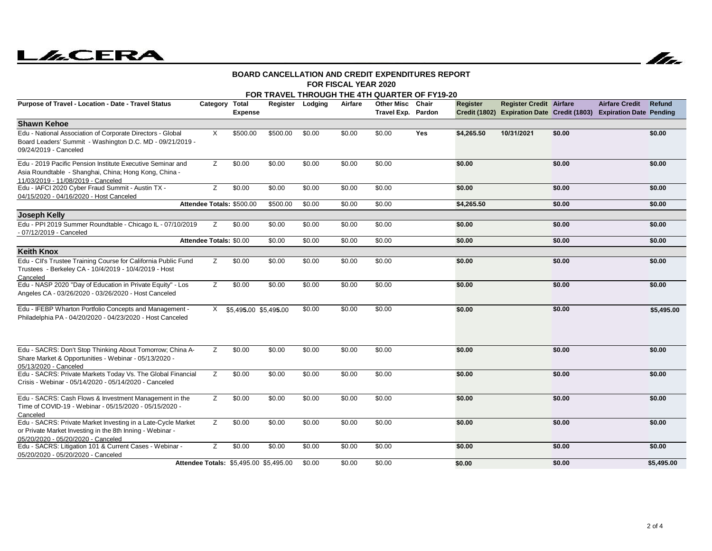# **LACERA**

![](_page_6_Picture_1.jpeg)

#### **FOR FISCAL YEAR 2020BOARD CANCELLATION AND CREDIT EXPENDITURES REPORT**

|                                                                                                                                                                 |                         |                                        |          |         |         | FOR TRAVEL THROUGH THE 4TH QUARTER OF FY19-20 |       |            |                                |        |                                                                                              |            |
|-----------------------------------------------------------------------------------------------------------------------------------------------------------------|-------------------------|----------------------------------------|----------|---------|---------|-----------------------------------------------|-------|------------|--------------------------------|--------|----------------------------------------------------------------------------------------------|------------|
| Purpose of Travel - Location - Date - Travel Status                                                                                                             | Category Total          | <b>Expense</b>                         | Register | Lodging | Airfare | <b>Other Misc</b><br>Travel Exp. Pardon       | Chair | Register   | <b>Register Credit Airfare</b> |        | <b>Airfare Credit</b><br>Credit (1802) Expiration Date Credit (1803) Expiration Date Pending | Refund     |
| <b>Shawn Kehoe</b>                                                                                                                                              |                         |                                        |          |         |         |                                               |       |            |                                |        |                                                                                              |            |
| Edu - National Association of Corporate Directors - Global<br>Board Leaders' Summit - Washington D.C. MD - 09/21/2019 -<br>09/24/2019 - Canceled                | X                       | \$500.00                               | \$500.00 | \$0.00  | \$0.00  | \$0.00                                        | Yes   | \$4,265.50 | 10/31/2021                     | \$0.00 |                                                                                              | \$0.00     |
| Edu - 2019 Pacific Pension Institute Executive Seminar and<br>Asia Roundtable - Shanghai, China; Hong Kong, China -<br>11/03/2019 - 11/08/2019 - Canceled       | Z                       | \$0.00                                 | \$0.00   | \$0.00  | \$0.00  | \$0.00                                        |       | \$0.00     |                                | \$0.00 |                                                                                              | \$0.00     |
| Edu - IAFCI 2020 Cyber Fraud Summit - Austin TX -<br>04/15/2020 - 04/16/2020 - Host Canceled                                                                    | Z                       | \$0.00                                 | \$0.00   | \$0.00  | \$0.00  | \$0.00                                        |       | \$0.00     |                                | \$0.00 |                                                                                              | \$0.00     |
|                                                                                                                                                                 |                         | Attendee Totals: \$500.00              | \$500.00 | \$0.00  | \$0.00  | \$0.00                                        |       | \$4,265.50 |                                | \$0.00 |                                                                                              | \$0.00     |
| <b>Joseph Kelly</b>                                                                                                                                             |                         |                                        |          |         |         |                                               |       |            |                                |        |                                                                                              |            |
| Edu - PPI 2019 Summer Roundtable - Chicago IL - 07/10/2019<br>- 07/12/2019 - Canceled                                                                           | Z                       | \$0.00                                 | \$0.00   | \$0.00  | \$0.00  | \$0.00                                        |       | \$0.00     |                                | \$0.00 |                                                                                              | \$0.00     |
|                                                                                                                                                                 | Attendee Totals: \$0.00 |                                        | \$0.00   | \$0.00  | \$0.00  | \$0.00                                        |       | \$0.00     |                                | \$0.00 |                                                                                              | \$0.00     |
| <b>Keith Knox</b>                                                                                                                                               |                         |                                        |          |         |         |                                               |       |            |                                |        |                                                                                              |            |
| Edu - Cll's Trustee Training Course for California Public Fund<br>Trustees - Berkeley CA - 10/4/2019 - 10/4/2019 - Host<br>Canceled                             | Ζ                       | \$0.00                                 | \$0.00   | \$0.00  | \$0.00  | \$0.00                                        |       | \$0.00     |                                | \$0.00 |                                                                                              | \$0.00     |
| Edu - NASP 2020 "Day of Education in Private Equity" - Los<br>Angeles CA - 03/26/2020 - 03/26/2020 - Host Canceled                                              | Z                       | \$0.00                                 | \$0.00   | \$0.00  | \$0.00  | \$0.00                                        |       | \$0.00     |                                | \$0.00 |                                                                                              | \$0.00     |
| Edu - IFEBP Wharton Portfolio Concepts and Management -<br>Philadelphia PA - 04/20/2020 - 04/23/2020 - Host Canceled                                            |                         | X \$5.495.00 \$5.495.00                |          | \$0.00  | \$0.00  | \$0.00                                        |       | \$0.00     |                                | \$0.00 |                                                                                              | \$5,495.00 |
| Edu - SACRS: Don't Stop Thinking About Tomorrow; China A-<br>Share Market & Opportunities - Webinar - 05/13/2020 -<br>05/13/2020 - Canceled                     | z                       | \$0.00                                 | \$0.00   | \$0.00  | \$0.00  | \$0.00                                        |       | \$0.00     |                                | \$0.00 |                                                                                              | \$0.00     |
| Edu - SACRS: Private Markets Today Vs. The Global Financial<br>Crisis - Webinar - 05/14/2020 - 05/14/2020 - Canceled                                            | Ζ                       | \$0.00                                 | \$0.00   | \$0.00  | \$0.00  | \$0.00                                        |       | \$0.00     |                                | \$0.00 |                                                                                              | \$0.00     |
| Edu - SACRS: Cash Flows & Investment Management in the<br>Time of COVID-19 - Webinar - 05/15/2020 - 05/15/2020 -<br>Canceled                                    | Z                       | \$0.00                                 | \$0.00   | \$0.00  | \$0.00  | \$0.00                                        |       | \$0.00     |                                | \$0.00 |                                                                                              | \$0.00     |
| Edu - SACRS: Private Market Investing in a Late-Cycle Market<br>or Private Market Investing in the 8th Inning - Webinar -<br>05/20/2020 - 05/20/2020 - Canceled | Z                       | \$0.00                                 | \$0.00   | \$0.00  | \$0.00  | \$0.00                                        |       | \$0.00     |                                | \$0.00 |                                                                                              | \$0.00     |
| Edu - SACRS: Litigation 101 & Current Cases - Webinar -<br>05/20/2020 - 05/20/2020 - Canceled                                                                   | Z                       | \$0.00                                 | \$0.00   | \$0.00  | \$0.00  | \$0.00                                        |       | \$0.00     |                                | \$0.00 |                                                                                              | \$0.00     |
|                                                                                                                                                                 |                         | Attendee Totals: \$5,495.00 \$5,495.00 |          | \$0.00  | \$0.00  | \$0.00                                        |       | \$0.00     |                                | \$0.00 |                                                                                              | \$5,495.00 |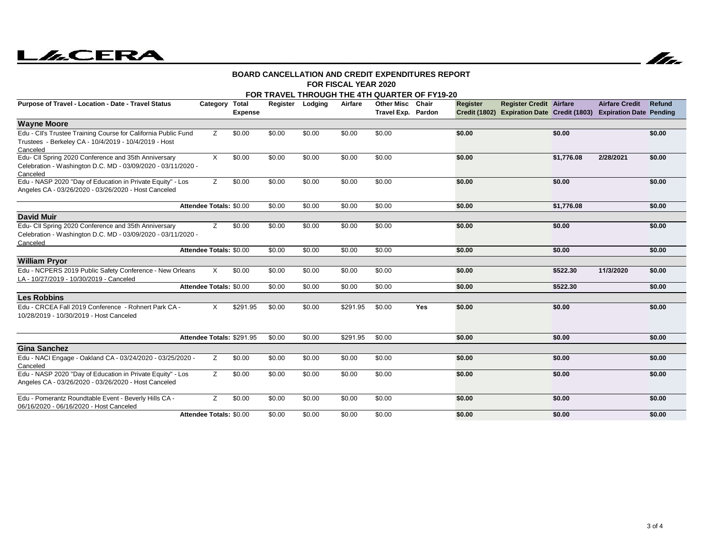# **LILCERA**

![](_page_7_Picture_1.jpeg)

#### **FOR FISCAL YEAR 2020BOARD CANCELLATION AND CREDIT EXPENDITURES REPORT**

| FOR TRAVEL THROUGH THE 4TH QUARTER OF FY19-20                                                                                       |                           |                         |        |                  |          |                                        |     |          |                                                                                                       |            |                       |        |
|-------------------------------------------------------------------------------------------------------------------------------------|---------------------------|-------------------------|--------|------------------|----------|----------------------------------------|-----|----------|-------------------------------------------------------------------------------------------------------|------------|-----------------------|--------|
| Purpose of Travel - Location - Date - Travel Status                                                                                 | Category                  | Total<br><b>Expense</b> |        | Register Lodging | Airfare  | Other Misc Chair<br>Travel Exp. Pardon |     | Register | <b>Register Credit Airfare</b><br>Credit (1802) Expiration Date Credit (1803) Expiration Date Pending |            | <b>Airfare Credit</b> | Refund |
| <b>Wayne Moore</b>                                                                                                                  |                           |                         |        |                  |          |                                        |     |          |                                                                                                       |            |                       |        |
| Edu - CII's Trustee Training Course for California Public Fund<br>Trustees - Berkeley CA - 10/4/2019 - 10/4/2019 - Host<br>Canceled | z                         | \$0.00                  | \$0.00 | \$0.00           | \$0.00   | \$0.00                                 |     | \$0.00   |                                                                                                       | \$0.00     |                       | \$0.00 |
| Edu- CII Spring 2020 Conference and 35th Anniversary<br>Celebration - Washington D.C. MD - 03/09/2020 - 03/11/2020 -<br>Canceled    | $\times$                  | \$0.00                  | \$0.00 | \$0.00           | \$0.00   | \$0.00                                 |     | \$0.00   |                                                                                                       | \$1,776.08 | 2/28/2021             | \$0.00 |
| Edu - NASP 2020 "Day of Education in Private Equity" - Los<br>Angeles CA - 03/26/2020 - 03/26/2020 - Host Canceled                  | z                         | \$0.00                  | \$0.00 | \$0.00           | \$0.00   | \$0.00                                 |     | \$0.00   |                                                                                                       | \$0.00     |                       | \$0.00 |
|                                                                                                                                     | Attendee Totals: \$0.00   |                         | \$0.00 | \$0.00           | \$0.00   | \$0.00                                 |     | \$0.00   |                                                                                                       | \$1,776.08 |                       | \$0.00 |
| <b>David Muir</b>                                                                                                                   |                           |                         |        |                  |          |                                        |     |          |                                                                                                       |            |                       |        |
| Edu- CII Spring 2020 Conference and 35th Anniversary<br>Celebration - Washington D.C. MD - 03/09/2020 - 03/11/2020 -<br>Canceled    | Z                         | \$0.00                  | \$0.00 | \$0.00           | \$0.00   | \$0.00                                 |     | \$0.00   |                                                                                                       | \$0.00     |                       | \$0.00 |
|                                                                                                                                     | Attendee Totals: \$0.00   |                         | \$0.00 | \$0.00           | \$0.00   | \$0.00                                 |     | \$0.00   |                                                                                                       | \$0.00     |                       | \$0.00 |
| <b>William Pryor</b>                                                                                                                |                           |                         |        |                  |          |                                        |     |          |                                                                                                       |            |                       |        |
| Edu - NCPERS 2019 Public Safety Conference - New Orleans<br>LA - 10/27/2019 - 10/30/2019 - Canceled                                 | $\times$                  | \$0.00                  | \$0.00 | \$0.00           | \$0.00   | \$0.00                                 |     | \$0.00   |                                                                                                       | \$522.30   | 11/3/2020             | \$0.00 |
|                                                                                                                                     | Attendee Totals: \$0.00   |                         | \$0.00 | \$0.00           | \$0.00   | \$0.00                                 |     | \$0.00   |                                                                                                       | \$522.30   |                       | \$0.00 |
| <b>Les Robbins</b>                                                                                                                  |                           |                         |        |                  |          |                                        |     |          |                                                                                                       |            |                       |        |
| Edu - CRCEA Fall 2019 Conference - Rohnert Park CA -<br>10/28/2019 - 10/30/2019 - Host Canceled                                     | $\times$                  | \$291.95                | \$0.00 | \$0.00           | \$291.95 | \$0.00                                 | Yes | \$0.00   |                                                                                                       | \$0.00     |                       | \$0.00 |
|                                                                                                                                     | Attendee Totals: \$291.95 |                         | \$0.00 | \$0.00           | \$291.95 | \$0.00                                 |     | \$0.00   |                                                                                                       | \$0.00     |                       | \$0.00 |
| <b>Gina Sanchez</b>                                                                                                                 |                           |                         |        |                  |          |                                        |     |          |                                                                                                       |            |                       |        |
| Edu - NACl Engage - Oakland CA - 03/24/2020 - 03/25/2020 -<br>Canceled                                                              | Z                         | \$0.00                  | \$0.00 | \$0.00           | \$0.00   | \$0.00                                 |     | \$0.00   |                                                                                                       | \$0.00     |                       | \$0.00 |
| Edu - NASP 2020 "Day of Education in Private Equity" - Los<br>Angeles CA - 03/26/2020 - 03/26/2020 - Host Canceled                  | Z                         | \$0.00                  | \$0.00 | \$0.00           | \$0.00   | \$0.00                                 |     | \$0.00   |                                                                                                       | \$0.00     |                       | \$0.00 |
| Edu - Pomerantz Roundtable Event - Beverly Hills CA -<br>06/16/2020 - 06/16/2020 - Host Canceled                                    | Z                         | \$0.00                  | \$0.00 | \$0.00           | \$0.00   | \$0.00                                 |     | \$0.00   |                                                                                                       | \$0.00     |                       | \$0.00 |
|                                                                                                                                     | Attendee Totals: \$0.00   |                         | \$0.00 | \$0.00           | \$0.00   | \$0.00                                 |     | \$0.00   |                                                                                                       | \$0.00     |                       | \$0.00 |